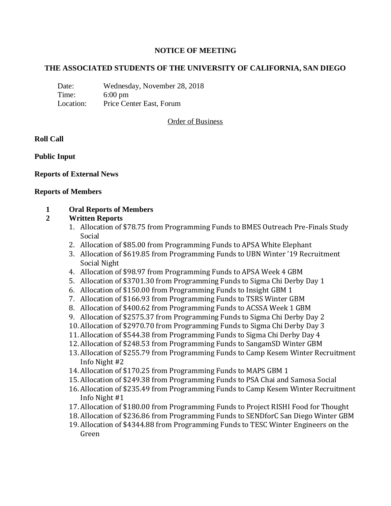# **NOTICE OF MEETING**

## **THE ASSOCIATED STUDENTS OF THE UNIVERSITY OF CALIFORNIA, SAN DIEGO**

Date: Wednesday, November 28, 2018 Time: 6:00 pm Location: Price Center East, Forum

## Order of Business

## **Roll Call**

**Public Input**

## **Reports of External News**

#### **Reports of Members**

#### **1 Oral Reports of Members**

## **2 Written Reports**

- 1. Allocation of \$78.75 from Programming Funds to BMES Outreach Pre-Finals Study Social
- 2. Allocation of \$85.00 from Programming Funds to APSA White Elephant
- 3. Allocation of \$619.85 from Programming Funds to UBN Winter '19 Recruitment Social Night
- 4. Allocation of \$98.97 from Programming Funds to APSA Week 4 GBM
- 5. Allocation of \$3701.30 from Programming Funds to Sigma Chi Derby Day 1
- 6. Allocation of \$150.00 from Programming Funds to Insight GBM 1
- 7. Allocation of \$166.93 from Programming Funds to TSRS Winter GBM
- 8. Allocation of \$400.62 from Programming Funds to ACSSA Week 1 GBM
- 9. Allocation of \$2575.37 from Programming Funds to Sigma Chi Derby Day 2
- 10. Allocation of \$2970.70 from Programming Funds to Sigma Chi Derby Day 3
- 11. Allocation of \$544.38 from Programming Funds to Sigma Chi Derby Day 4
- 12. Allocation of \$248.53 from Programming Funds to SangamSD Winter GBM
- 13. Allocation of \$255.79 from Programming Funds to Camp Kesem Winter Recruitment Info Night #2
- 14. Allocation of \$170.25 from Programming Funds to MAPS GBM 1
- 15. Allocation of \$249.38 from Programming Funds to PSA Chai and Samosa Social
- 16. Allocation of \$235.49 from Programming Funds to Camp Kesem Winter Recruitment Info Night #1
- 17. Allocation of \$180.00 from Programming Funds to Project RISHI Food for Thought
- 18. Allocation of \$236.86 from Programming Funds to SENDforC San Diego Winter GBM
- 19. Allocation of \$4344.88 from Programming Funds to TESC Winter Engineers on the Green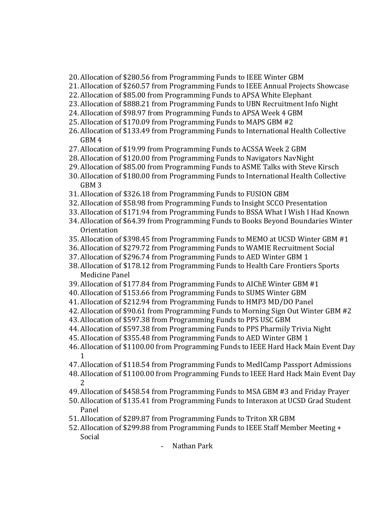- 20. Allocation of \$280.56 from Programming Funds to IEEE Winter GBM
- 21. Allocation of \$260.57 from Programming Funds to IEEE Annual Projects Showcase
- 22. Allocation of \$85.00 from Programming Funds to APSA White Elephant
- 23. Allocation of \$888.21 from Programming Funds to UBN Recruitment Info Night
- 24. Allocation of \$98.97 from Programming Funds to APSA Week 4 GBM
- 25. Allocation of \$170.09 from Programming Funds to MAPS GBM #2
- 26. Allocation of \$133.49 from Programming Funds to International Health Collective GBM 4
- 27. Allocation of \$19.99 from Programming Funds to ACSSA Week 2 GBM
- 28. Allocation of \$120.00 from Programming Funds to Navigators NavNight
- 29. Allocation of \$85.00 from Programming Funds to ASME Talks with Steve Kirsch
- 30. Allocation of \$180.00 from Programming Funds to International Health Collective GBM 3
- 31. Allocation of \$326.18 from Programming Funds to FUSION GBM
- 32. Allocation of \$58.98 from Programming Funds to Insight SCCO Presentation
- 33. Allocation of \$171.94 from Programming Funds to BSSA What I Wish I Had Known
- 34. Allocation of \$64.39 from Programming Funds to Books Beyond Boundaries Winter Orientation
- 35. Allocation of \$398.45 from Programming Funds to MEMO at UCSD Winter GBM #1
- 36. Allocation of \$279.72 from Programming Funds to WAMIE Recruitment Social
- 37. Allocation of \$296.74 from Programming Funds to AED Winter GBM 1
- 38. Allocation of \$178.12 from Programming Funds to Health Care Frontiers Sports Medicine Panel
- 39. Allocation of \$177.84 from Programming Funds to AIChE Winter GBM #1
- 40. Allocation of \$153.66 from Programming Funds to SUMS Winter GBM
- 41. Allocation of \$212.94 from Programming Funds to HMP3 MD/DO Panel
- 42. Allocation of \$90.61 from Programming Funds to Morning Sign Out Winter GBM #2
- 43. Allocation of \$597.38 from Programming Funds to PPS USC GBM
- 44. Allocation of \$597.38 from Programming Funds to PPS Pharmily Trivia Night
- 45. Allocation of \$355.48 from Programming Funds to AED Winter GBM 1
- 46. Allocation of \$1100.00 from Programming Funds to IEEE Hard Hack Main Event Day 1
- 47. Allocation of \$118.54 from Programming Funds to MedICamp Passport Admissions
- 48. Allocation of \$1100.00 from Programming Funds to IEEE Hard Hack Main Event Day 2
- 49. Allocation of \$458.54 from Programming Funds to MSA GBM #3 and Friday Prayer
- 50. Allocation of \$135.41 from Programming Funds to Interaxon at UCSD Grad Student Panel
- 51. Allocation of \$289.87 from Programming Funds to Triton XR GBM
- 52. Allocation of \$299.88 from Programming Funds to IEEE Staff Member Meeting + Social
	- Nathan Park